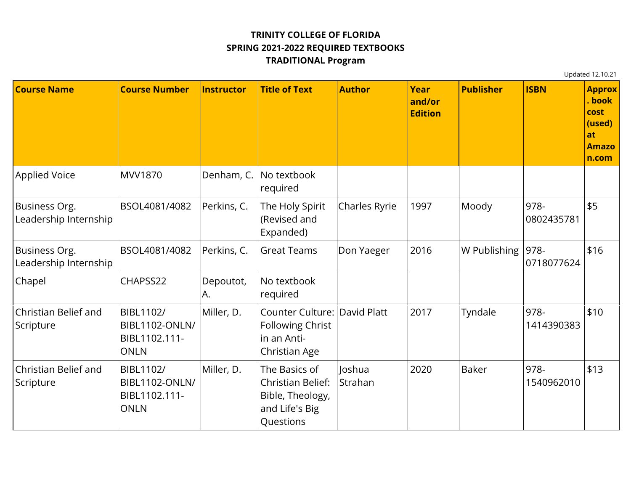## **TRINITY COLLEGE OF FLORIDA SPRING 2021-2022 REQUIRED TEXTBOOKS TRADITIONAL Program**

Updated 12.10.21

**Course Name Course Number Instructor Title of Text Author Year and/or Edition Publisher ISBN Approx . book cost (used) at Amazo n.com** Applied Voice MVV1870 Denham, C. No textbook required Business Org. Leadership Internship BSOL4081/4082 Perkins, C. The Holy Spirit (Revised and Expanded)  $|Charles Ryrie |1997 |Moody |978-$ 0802435781 \$5 Business Org. Leadership Internship BSOL4081/4082 Perkins, C. Great Teams Don Yaeger 2016 W Publishing 978-0718077624 \$16 Chapel CHAPSS22 Depoutot, A. No textbook required Christian Belief and **Scripture** BIBL1102/ BIBL1102-ONLN/ BIBL1102.111- ONLN Miller, D. Counter Culture: David Platt 72017 Tyndale 978-Following Christ in an Anti-Christian Age 1414390383 \$10 Christian Belief and **Scripture** BIBL1102/ BIBL1102-ONLN/ BIBL1102.111- ONLN Miller, D. The Basics of Christian Belief: Bible, Theology, and Life's Big Questions Joshua Strahan 2020 Baker | 978-1540962010 \$13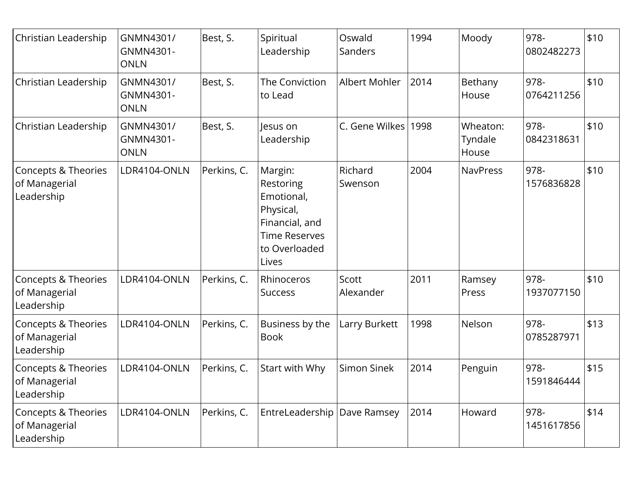| Christian Leadership                               | GNMN4301/<br>GNMN4301-<br><b>ONLN</b> | Best, S.    | Spiritual<br>Leadership                                                                                             | Oswald<br>Sanders  | 1994 | Moody                        | 978-<br>0802482273 | \$10 |
|----------------------------------------------------|---------------------------------------|-------------|---------------------------------------------------------------------------------------------------------------------|--------------------|------|------------------------------|--------------------|------|
| Christian Leadership                               | GNMN4301/<br>GNMN4301-<br><b>ONLN</b> | Best, S.    | The Conviction<br>to Lead                                                                                           | Albert Mohler      | 2014 | Bethany<br>House             | 978-<br>0764211256 | \$10 |
| Christian Leadership                               | GNMN4301/<br>GNMN4301-<br><b>ONLN</b> | Best, S.    | lesus on<br>Leadership                                                                                              | C. Gene Wilkes     | 1998 | Wheaton:<br>Tyndale<br>House | 978-<br>0842318631 | \$10 |
| Concepts & Theories<br>of Managerial<br>Leadership | LDR4104-ONLN                          | Perkins, C. | Margin:<br>Restoring<br>Emotional,<br>Physical,<br>Financial, and<br><b>Time Reserves</b><br>to Overloaded<br>Lives | Richard<br>Swenson | 2004 | <b>NavPress</b>              | 978-<br>1576836828 | \$10 |
| Concepts & Theories<br>of Managerial<br>Leadership | LDR4104-ONLN                          | Perkins, C. | Rhinoceros<br><b>Success</b>                                                                                        | Scott<br>Alexander | 2011 | Ramsey<br>Press              | 978-<br>1937077150 | \$10 |
| Concepts & Theories<br>of Managerial<br>Leadership | LDR4104-ONLN                          | Perkins, C. | Business by the<br><b>Book</b>                                                                                      | Larry Burkett      | 1998 | Nelson                       | 978-<br>0785287971 | \$13 |
| Concepts & Theories<br>of Managerial<br>Leadership | LDR4104-ONLN                          | Perkins, C. | Start with Why                                                                                                      | Simon Sinek        | 2014 | Penguin                      | 978-<br>1591846444 | \$15 |
| Concepts & Theories<br>of Managerial<br>Leadership | LDR4104-ONLN                          | Perkins, C. | EntreLeadership   Dave Ramsey                                                                                       |                    | 2014 | Howard                       | 978-<br>1451617856 | \$14 |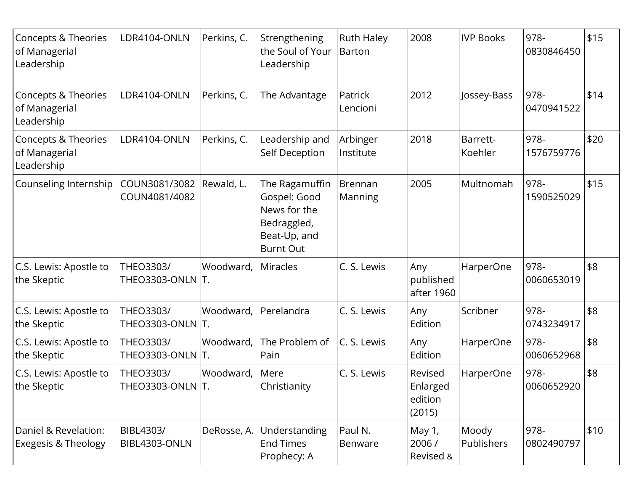| Concepts & Theories<br>of Managerial<br>Leadership     | LDR4104-ONLN                         | Perkins, C. | Strengthening<br>the Soul of Your<br>Leadership                                                   | <b>Ruth Haley</b><br><b>Barton</b> | 2008                                     | <b>IVP Books</b>    | 978-<br>0830846450 | \$15 |
|--------------------------------------------------------|--------------------------------------|-------------|---------------------------------------------------------------------------------------------------|------------------------------------|------------------------------------------|---------------------|--------------------|------|
| Concepts & Theories<br>of Managerial<br>Leadership     | LDR4104-ONLN                         | Perkins, C. | The Advantage                                                                                     | Patrick<br>Lencioni                | 2012                                     | Jossey-Bass         | 978-<br>0470941522 | \$14 |
| Concepts & Theories<br>of Managerial<br>Leadership     | LDR4104-ONLN                         | Perkins, C. | Leadership and<br>Self Deception                                                                  | Arbinger<br>Institute              | 2018                                     | Barrett-<br>Koehler | 978-<br>1576759776 | \$20 |
| Counseling Internship                                  | COUN3081/3082<br>COUN4081/4082       | Rewald, L.  | The Ragamuffin<br>Gospel: Good<br>News for the<br>Bedraggled,<br>Beat-Up, and<br><b>Burnt Out</b> | Brennan<br>Manning                 | 2005                                     | Multnomah           | 978-<br>1590525029 | \$15 |
| C.S. Lewis: Apostle to<br>the Skeptic                  | THEO3303/<br>THEO3303-ONLN T.        | Woodward,   | <b>Miracles</b>                                                                                   | C. S. Lewis                        | Any<br>published<br>after 1960           | HarperOne           | 978-<br>0060653019 | \$8  |
| C.S. Lewis: Apostle to<br>the Skeptic                  | THEO3303/<br>THEO3303-ONLN T.        | Woodward,   | Perelandra                                                                                        | C. S. Lewis                        | Any<br>Edition                           | Scribner            | 978-<br>0743234917 | \$8  |
| C.S. Lewis: Apostle to<br>the Skeptic                  | THEO3303/<br><b>THEO3303-ONLN T.</b> | Woodward,   | The Problem of<br>Pain                                                                            | C. S. Lewis                        | Any<br>Edition                           | HarperOne           | 978-<br>0060652968 | \$8  |
| C.S. Lewis: Apostle to<br>the Skeptic                  | THEO3303/<br>THEO3303-ONLN T.        | Woodward,   | Mere<br>Christianity                                                                              | C. S. Lewis                        | Revised<br>Enlarged<br>edition<br>(2015) | HarperOne           | 978-<br>0060652920 | \$8  |
| Daniel & Revelation:<br><b>Exegesis &amp; Theology</b> | BIBL4303/<br>BIBL4303-ONLN           | DeRosse, A. | Understanding<br><b>End Times</b><br>Prophecy: A                                                  | Paul N.<br>Benware                 | May 1,<br>2006/<br>Revised &             | Moody<br>Publishers | 978-<br>0802490797 | \$10 |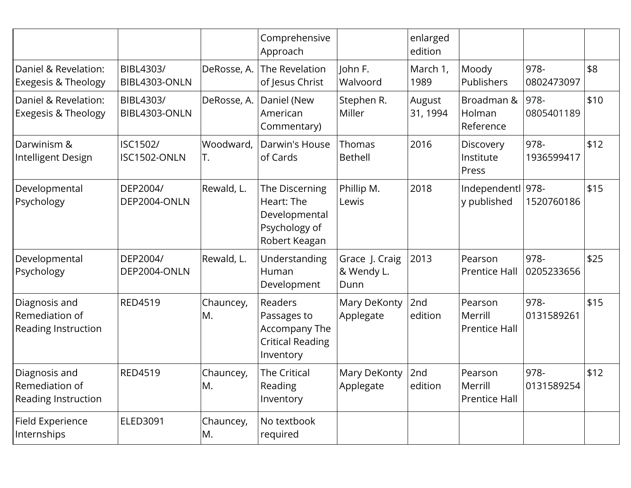|                                                               |                            |                  | Comprehensive<br>Approach                                                              |                                      | enlarged<br>edition |                                            |                    |      |
|---------------------------------------------------------------|----------------------------|------------------|----------------------------------------------------------------------------------------|--------------------------------------|---------------------|--------------------------------------------|--------------------|------|
| Daniel & Revelation:<br><b>Exegesis &amp; Theology</b>        | BIBL4303/<br>BIBL4303-ONLN | DeRosse, A.      | The Revelation<br>of Jesus Christ                                                      | John F.<br>Walvoord                  | March 1,<br>1989    | Moody<br>Publishers                        | 978-<br>0802473097 | \$8  |
| Daniel & Revelation:<br><b>Exegesis &amp; Theology</b>        | BIBL4303/<br>BIBL4303-ONLN | DeRosse, A.      | Daniel (New<br>American<br>Commentary)                                                 | Stephen R.<br>Miller                 | August<br>31, 1994  | Broadman &<br>Holman<br>Reference          | 978-<br>0805401189 | \$10 |
| Darwinism &<br>Intelligent Design                             | ISC1502/<br>ISC1502-ONLN   | Woodward,<br>IT. | Darwin's House<br>of Cards                                                             | Thomas<br><b>Bethell</b>             | 2016                | Discovery<br>Institute<br>Press            | 978-<br>1936599417 | \$12 |
| Developmental<br>Psychology                                   | DEP2004/<br>DEP2004-ONLN   | Rewald, L.       | The Discerning<br>Heart: The<br>Developmental<br>Psychology of<br>Robert Keagan        | Phillip M.<br>Lewis                  | 2018                | Independentl 978-<br>y published           | 1520760186         | \$15 |
| Developmental<br>Psychology                                   | DEP2004/<br>DEP2004-ONLN   | Rewald, L.       | Understanding<br>Human<br>Development                                                  | Grace J. Craig<br>& Wendy L.<br>Dunn | 2013                | Pearson<br><b>Prentice Hall</b>            | 978-<br>0205233656 | \$25 |
| Diagnosis and<br>Remediation of<br><b>Reading Instruction</b> | <b>RED4519</b>             | Chauncey,<br>M.  | <b>Readers</b><br>Passages to<br>Accompany The<br><b>Critical Reading</b><br>Inventory | Mary DeKonty<br>Applegate            | 2nd<br>edition      | Pearson<br>Merrill<br><b>Prentice Hall</b> | 978-<br>0131589261 | \$15 |
| Diagnosis and<br>Remediation of<br>Reading Instruction        | <b>RED4519</b>             | Chauncey,<br>M.  | The Critical<br>Reading<br>Inventory                                                   | Mary DeKonty<br>Applegate            | 2nd<br>edition      | Pearson<br>Merrill<br><b>Prentice Hall</b> | 978-<br>0131589254 | \$12 |
| Field Experience<br>Internships                               | ELED3091                   | Chauncey,<br>M.  | No textbook<br>required                                                                |                                      |                     |                                            |                    |      |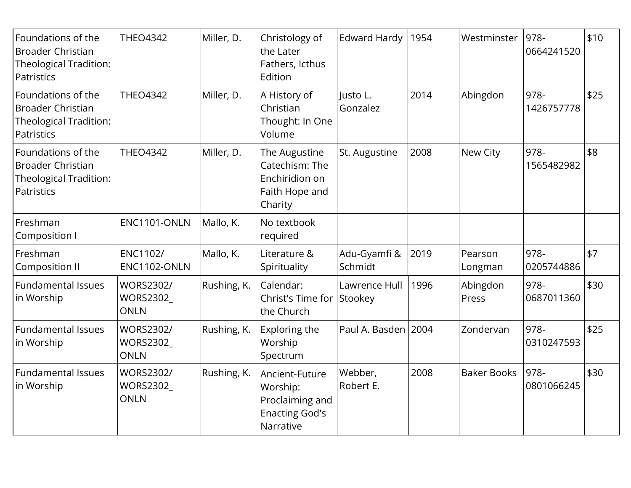| Foundations of the<br><b>Broader Christian</b><br>Theological Tradition:<br>Patristics | <b>THEO4342</b>                              | Miller, D.  | Christology of<br>the Later<br>Fathers, Icthus<br>Edition                           | <b>Edward Hardy</b>      | 1954 | Westminster        | 978-<br>0664241520 | \$10 |
|----------------------------------------------------------------------------------------|----------------------------------------------|-------------|-------------------------------------------------------------------------------------|--------------------------|------|--------------------|--------------------|------|
| Foundations of the<br><b>Broader Christian</b><br>Theological Tradition:<br>Patristics | <b>THEO4342</b>                              | Miller, D.  | A History of<br>Christian<br>Thought: In One<br>Volume                              | lusto L.<br>Gonzalez     | 2014 | Abingdon           | 978-<br>1426757778 | \$25 |
| Foundations of the<br><b>Broader Christian</b><br>Theological Tradition:<br>Patristics | <b>THEO4342</b>                              | Miller, D.  | The Augustine<br>Catechism: The<br>Enchiridion on<br>Faith Hope and<br>Charity      | St. Augustine            | 2008 | New City           | 978-<br>1565482982 | \$8  |
| Freshman<br>Composition I                                                              | ENC1101-ONLN                                 | Mallo, K.   | No textbook<br>required                                                             |                          |      |                    |                    |      |
| Freshman<br><b>Composition II</b>                                                      | <b>ENC1102/</b><br>ENC1102-ONLN              | Mallo, K.   | Literature &<br>Spirituality                                                        | Adu-Gyamfi &<br>Schmidt  | 2019 | Pearson<br>Longman | 978-<br>0205744886 | \$7  |
| <b>Fundamental Issues</b><br>in Worship                                                | WORS2302/<br>WORS2302_<br><b>ONLN</b>        | Rushing, K. | Calendar:<br>Christ's Time for<br>the Church                                        | Lawrence Hull<br>Stookey | 1996 | Abingdon<br>Press  | 978-<br>0687011360 | \$30 |
| Fundamental Issues<br>in Worship                                                       | WORS2302/<br>WORS2302_<br><b>ONLN</b>        | Rushing, K. | Exploring the<br>Worship<br>Spectrum                                                | Paul A. Basden 2004      |      | Zondervan          | 978-<br>0310247593 | \$25 |
| <b>Fundamental Issues</b><br>in Worship                                                | <b>WORS2302/</b><br>WORS2302_<br><b>ONLN</b> | Rushing, K. | Ancient-Future<br>Worship:<br>Proclaiming and<br><b>Enacting God's</b><br>Narrative | Webber,<br>Robert E.     | 2008 | <b>Baker Books</b> | 978-<br>0801066245 | \$30 |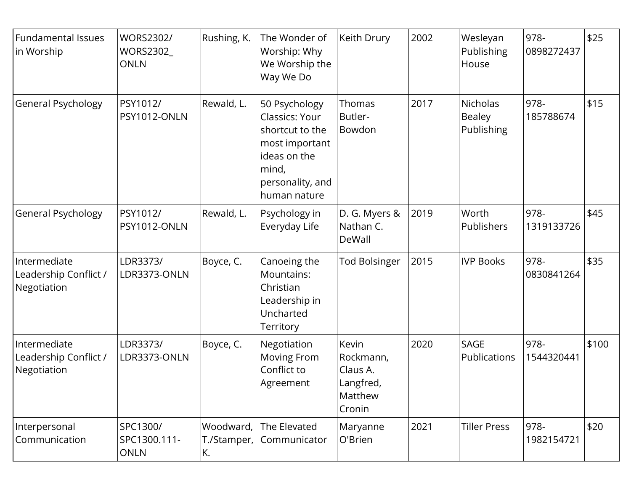| <b>Fundamental Issues</b><br>in Worship              | <b>WORS2302/</b><br>WORS2302_<br><b>ONLN</b> | Rushing, K.                    | The Wonder of<br>Worship: Why<br>We Worship the<br>Way We Do                                                                      | Keith Drury                                                      | 2002 | Wesleyan<br>Publishing<br>House                | 978-<br>0898272437 | \$25  |
|------------------------------------------------------|----------------------------------------------|--------------------------------|-----------------------------------------------------------------------------------------------------------------------------------|------------------------------------------------------------------|------|------------------------------------------------|--------------------|-------|
| General Psychology                                   | PSY1012/<br>PSY1012-ONLN                     | Rewald, L.                     | 50 Psychology<br>Classics: Your<br>shortcut to the<br>most important<br>ideas on the<br>mind,<br>personality, and<br>human nature | Thomas<br>Butler-<br>Bowdon                                      | 2017 | <b>Nicholas</b><br><b>Bealey</b><br>Publishing | 978-<br>185788674  | \$15  |
| General Psychology                                   | PSY1012/<br>PSY1012-ONLN                     | Rewald, L.                     | Psychology in<br>Everyday Life                                                                                                    | D. G. Myers &<br>Nathan C.<br>DeWall                             | 2019 | Worth<br>Publishers                            | 978-<br>1319133726 | \$45  |
| Intermediate<br>Leadership Conflict /<br>Negotiation | LDR3373/<br>LDR3373-ONLN                     | Boyce, C.                      | Canoeing the<br>Mountains:<br>Christian<br>Leadership in<br>Uncharted<br>Territory                                                | <b>Tod Bolsinger</b>                                             | 2015 | <b>IVP Books</b>                               | 978-<br>0830841264 | \$35  |
| Intermediate<br>Leadership Conflict /<br>Negotiation | LDR3373/<br>LDR3373-ONLN                     | Boyce, C.                      | Negotiation<br>Moving From<br>Conflict to<br>Agreement                                                                            | Kevin<br>Rockmann,<br>Claus A.<br>Langfred,<br>Matthew<br>Cronin | 2020 | SAGE<br>Publications                           | 978-<br>1544320441 | \$100 |
| Interpersonal<br>Communication                       | SPC1300/<br>SPC1300.111-<br><b>ONLN</b>      | Woodward,<br>T./Stamper,<br>K. | The Elevated<br>Communicator                                                                                                      | Maryanne<br>O'Brien                                              | 2021 | <b>Tiller Press</b>                            | 978-<br>1982154721 | \$20  |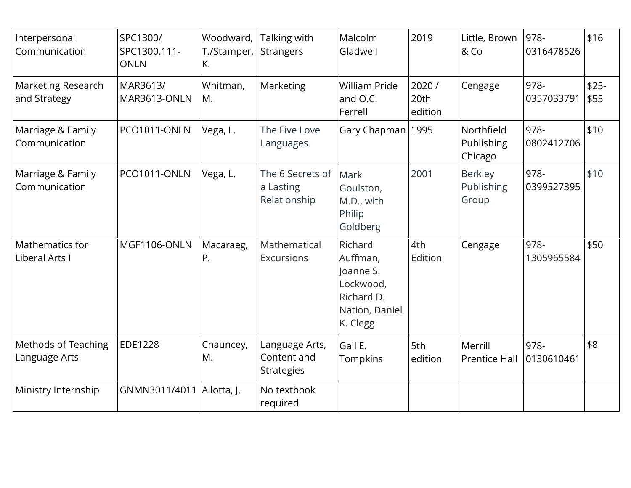| Interpersonal<br>Communication              | SPC1300/<br>SPC1300.111-<br><b>ONLN</b> | Woodward,<br>T./Stamper,<br>K. | Talking with<br>Strangers                          | Malcolm<br>Gladwell                                                                       | 2019                      | Little, Brown<br>& Co                 | 978-<br>0316478526 | \$16           |
|---------------------------------------------|-----------------------------------------|--------------------------------|----------------------------------------------------|-------------------------------------------------------------------------------------------|---------------------------|---------------------------------------|--------------------|----------------|
| <b>Marketing Research</b><br>and Strategy   | MAR3613/<br>MAR3613-ONLN                | Whitman,<br>M.                 | Marketing                                          | <b>William Pride</b><br>and O.C.<br>Ferrell                                               | 2020 /<br>20th<br>edition | Cengage                               | 978-<br>0357033791 | $$25-$<br>\$55 |
| Marriage & Family<br>Communication          | PCO1011-ONLN                            | Vega, L.                       | The Five Love<br>Languages                         | Gary Chapman   1995                                                                       |                           | Northfield<br>Publishing<br>Chicago   | 978-<br>0802412706 | \$10           |
| Marriage & Family<br>Communication          | PCO1011-ONLN                            | Vega, L.                       | The 6 Secrets of<br>a Lasting<br>Relationship      | Mark<br>Goulston,<br>M.D., with<br>Philip<br>Goldberg                                     | 2001                      | <b>Berkley</b><br>Publishing<br>Group | 978-<br>0399527395 | \$10           |
| Mathematics for<br>Liberal Arts I           | MGF1106-ONLN                            | Macaraeg,<br>P.                | Mathematical<br>Excursions                         | Richard<br>Auffman,<br>Joanne S.<br>Lockwood,<br>Richard D.<br>Nation, Daniel<br>K. Clegg | 4th<br>Edition            | Cengage                               | 978-<br>1305965584 | \$50           |
| <b>Methods of Teaching</b><br>Language Arts | EDE1228                                 | Chauncey,<br>M.                | Language Arts,<br>Content and<br><b>Strategies</b> | Gail E.<br>Tompkins                                                                       | 5th<br>edition            | Merrill<br><b>Prentice Hall</b>       | 978-<br>0130610461 | \$8            |
| Ministry Internship                         | GNMN3011/4011   Allotta, J.             |                                | No textbook<br>required                            |                                                                                           |                           |                                       |                    |                |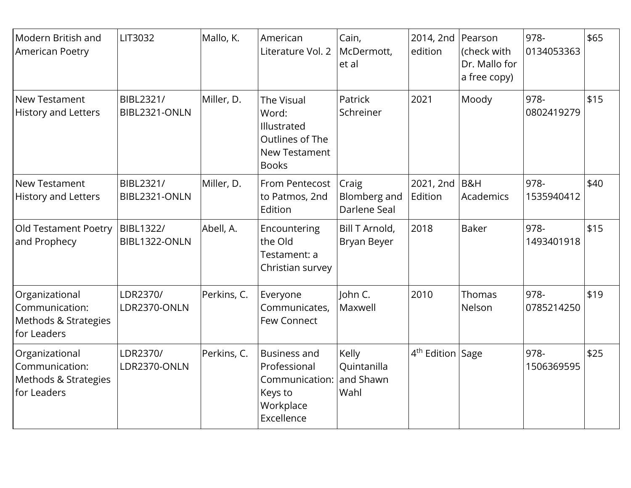| Modern British and<br>American Poetry                                   | LIT3032                    | Mallo, K.   | American<br>Literature Vol. 2                                                                 | Cain,<br>McDermott,<br>et al              | 2014, 2nd Pearson<br>edition | (check with<br>Dr. Mallo for<br>a free copy) | 978-<br>0134053363 | \$65 |
|-------------------------------------------------------------------------|----------------------------|-------------|-----------------------------------------------------------------------------------------------|-------------------------------------------|------------------------------|----------------------------------------------|--------------------|------|
| New Testament<br><b>History and Letters</b>                             | BIBL2321/<br>BIBL2321-ONLN | Miller, D.  | The Visual<br>Word:<br>Illustrated<br>Outlines of The<br><b>New Testament</b><br><b>Books</b> | Patrick<br>Schreiner                      | 2021                         | Moody                                        | 978-<br>0802419279 | \$15 |
| New Testament<br><b>History and Letters</b>                             | BIBL2321/<br>BIBL2321-ONLN | Miller, D.  | From Pentecost<br>to Patmos, 2nd<br>Edition                                                   | Craig<br>Blomberg and<br>Darlene Seal     | 2021, 2nd B&H<br>Edition     | Academics                                    | 978-<br>1535940412 | \$40 |
| Old Testament Poetry<br>and Prophecy                                    | BIBL1322/<br>BIBL1322-ONLN | Abell, A.   | Encountering<br>the Old<br>Testament: a<br>Christian survey                                   | Bill T Arnold,<br>Bryan Beyer             | 2018                         | <b>Baker</b>                                 | 978-<br>1493401918 | \$15 |
| Organizational<br>Communication:<br>Methods & Strategies<br>for Leaders | LDR2370/<br>LDR2370-ONLN   | Perkins, C. | Everyone<br>Communicates,<br>Few Connect                                                      | John C.<br>Maxwell                        | 2010                         | Thomas<br>Nelson                             | 978-<br>0785214250 | \$19 |
| Organizational<br>Communication:<br>Methods & Strategies<br>for Leaders | LDR2370/<br>LDR2370-ONLN   | Perkins, C. | <b>Business and</b><br>Professional<br>Communication:<br>Keys to<br>Workplace<br>Excellence   | Kelly<br>Quintanilla<br>and Shawn<br>Wahl | 4 <sup>th</sup> Edition Sage |                                              | 978-<br>1506369595 | \$25 |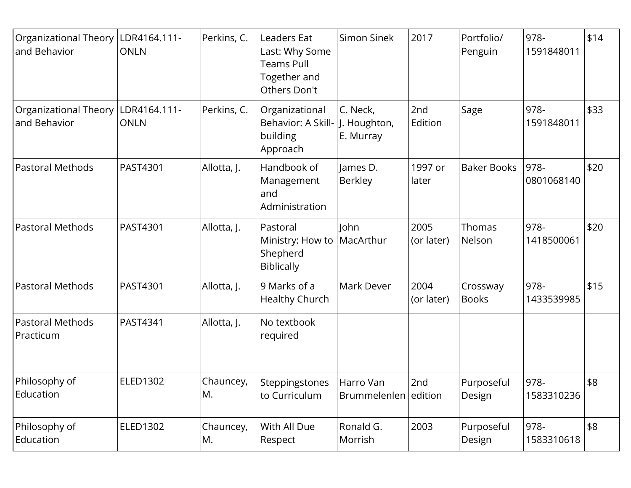| Organizational Theory                 | LDR4164.111-                | Perkins, C.     | Leaders Eat                                                         | Simon Sinek                           | 2017               | Portfolio/               | 978-               | \$14 |
|---------------------------------------|-----------------------------|-----------------|---------------------------------------------------------------------|---------------------------------------|--------------------|--------------------------|--------------------|------|
| and Behavior                          | <b>ONLN</b>                 |                 | Last: Why Some<br><b>Teams Pull</b><br>Together and<br>Others Don't |                                       |                    | Penguin                  | 1591848011         |      |
| Organizational Theory<br>and Behavior | LDR4164.111-<br><b>ONLN</b> | Perkins, C.     | Organizational<br>Behavior: A Skill-<br>building<br>Approach        | C. Neck,<br>J. Houghton,<br>E. Murray | 2nd<br>Edition     | Sage                     | 978-<br>1591848011 | \$33 |
| <b>Pastoral Methods</b>               | PAST4301                    | Allotta, J.     | Handbook of<br>Management<br>and<br>Administration                  | James D.<br><b>Berkley</b>            | 1997 or<br>later   | <b>Baker Books</b>       | 978-<br>0801068140 | \$20 |
| <b>Pastoral Methods</b>               | PAST4301                    | Allotta, J.     | Pastoral<br>Ministry: How to<br>Shepherd<br><b>Biblically</b>       | John<br>MacArthur                     | 2005<br>(or later) | Thomas<br>Nelson         | 978-<br>1418500061 | \$20 |
| <b>Pastoral Methods</b>               | PAST4301                    | Allotta, J.     | 9 Marks of a<br>Healthy Church                                      | Mark Dever                            | 2004<br>(or later) | Crossway<br><b>Books</b> | 978-<br>1433539985 | \$15 |
| Pastoral Methods<br>Practicum         | PAST4341                    | Allotta, J.     | No textbook<br>required                                             |                                       |                    |                          |                    |      |
| Philosophy of<br>Education            | <b>ELED1302</b>             | Chauncey,<br>M. | Steppingstones<br>to Curriculum                                     | Harro Van<br>Brummelenlen edition     | 2nd                | Purposeful<br>Design     | 978-<br>1583310236 | \$8  |
| Philosophy of<br>Education            | ELED1302                    | Chauncey,<br>M. | With All Due<br>Respect                                             | Ronald G.<br>Morrish                  | 2003               | Purposeful<br>Design     | 978-<br>1583310618 | \$8  |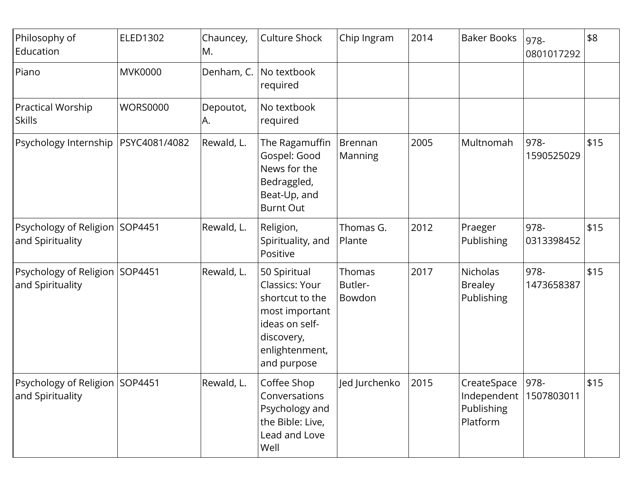| Philosophy of<br>Education                         | <b>ELED1302</b> | Chauncey,<br>M. | Culture Shock                                                                                                                        | Chip Ingram                 | 2014 | <b>Baker Books</b>                                                | 978-<br>0801017292 | \$8  |
|----------------------------------------------------|-----------------|-----------------|--------------------------------------------------------------------------------------------------------------------------------------|-----------------------------|------|-------------------------------------------------------------------|--------------------|------|
| Piano                                              | <b>MVK0000</b>  | Denham, C.      | No textbook<br>required                                                                                                              |                             |      |                                                                   |                    |      |
| <b>Practical Worship</b><br><b>Skills</b>          | <b>WORS0000</b> | Depoutot,<br>A. | No textbook<br>required                                                                                                              |                             |      |                                                                   |                    |      |
| Psychology Internship                              | PSYC4081/4082   | Rewald, L.      | The Ragamuffin<br>Gospel: Good<br>News for the<br>Bedraggled,<br>Beat-Up, and<br><b>Burnt Out</b>                                    | Brennan<br>Manning          | 2005 | Multnomah                                                         | 978-<br>1590525029 | \$15 |
| Psychology of Religion SOP4451<br>and Spirituality |                 | Rewald, L.      | Religion,<br>Spirituality, and<br>Positive                                                                                           | Thomas G.<br>Plante         | 2012 | Praeger<br>Publishing                                             | 978-<br>0313398452 | \$15 |
| Psychology of Religion SOP4451<br>and Spirituality |                 | Rewald, L.      | 50 Spiritual<br>Classics: Your<br>shortcut to the<br>most important<br>ideas on self-<br>discovery,<br>enlightenment,<br>and purpose | Thomas<br>Butler-<br>Bowdon | 2017 | <b>Nicholas</b><br><b>Brealey</b><br>Publishing                   | 978-<br>1473658387 | \$15 |
| Psychology of Religion SOP4451<br>and Spirituality |                 | Rewald, L.      | Coffee Shop<br>Conversations<br>Psychology and<br>the Bible: Live,<br>Lead and Love<br>Well                                          | Jed Jurchenko               | 2015 | CreateSpace<br>Independent   1507803011<br>Publishing<br>Platform | 978-               | \$15 |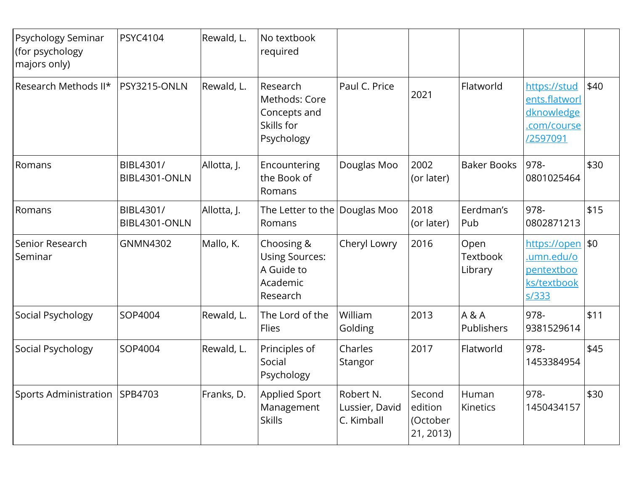| Psychology Seminar<br>(for psychology<br>majors only) | <b>PSYC4104</b>            | Rewald, L.  | No textbook<br>required                                                   |                                           |                                            |                                    |                                                                        |      |
|-------------------------------------------------------|----------------------------|-------------|---------------------------------------------------------------------------|-------------------------------------------|--------------------------------------------|------------------------------------|------------------------------------------------------------------------|------|
| Research Methods II*                                  | PSY3215-ONLN               | Rewald, L.  | Research<br>Methods: Core<br>Concepts and<br>Skills for<br>Psychology     | Paul C. Price                             | 2021                                       | Flatworld                          | https://stud<br>ents.flatworl<br>dknowledge<br>.com/course<br>/2597091 | \$40 |
| Romans                                                | BIBL4301/<br>BIBL4301-ONLN | Allotta, J. | Encountering<br>the Book of<br>Romans                                     | Douglas Moo                               | 2002<br>(or later)                         | <b>Baker Books</b>                 | 978-<br>0801025464                                                     | \$30 |
| Romans                                                | BIBL4301/<br>BIBL4301-ONLN | Allotta, J. | The Letter to the Douglas Moo<br>Romans                                   |                                           | 2018<br>(or later)                         | Eerdman's<br>Pub                   | 978-<br>0802871213                                                     | \$15 |
| Senior Research<br>Seminar                            | <b>GNMN4302</b>            | Mallo, K.   | Choosing &<br><b>Using Sources:</b><br>A Guide to<br>Academic<br>Research | Cheryl Lowry                              | 2016                                       | Open<br><b>Textbook</b><br>Library | https://open \$0<br>.umn.edu/o<br>pentextboo<br>ks/textbook<br>s/333   |      |
| Social Psychology                                     | SOP4004                    | Rewald, L.  | The Lord of the<br>Flies                                                  | William<br>Golding                        | 2013                                       | A & A<br>Publishers                | 978-<br>9381529614                                                     | \$11 |
| Social Psychology                                     | SOP4004                    | Rewald, L.  | Principles of<br>Social<br>Psychology                                     | Charles<br>Stangor                        | 2017                                       | Flatworld                          | 978-<br>1453384954                                                     | \$45 |
| Sports Administration                                 | SPB4703                    | Franks, D.  | Applied Sport<br>Management<br><b>Skills</b>                              | Robert N.<br>Lussier, David<br>C. Kimball | Second<br>edition<br>(October<br>21, 2013) | Human<br>Kinetics                  | 978-<br>1450434157                                                     | \$30 |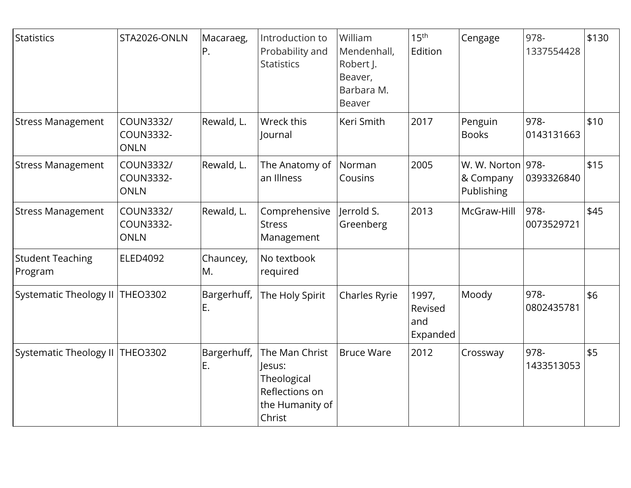| Statistics                         | STA2026-ONLN                                 | Macaraeg,<br>P.   | Introduction to<br>Probability and<br><b>Statistics</b>                                | William<br>Mendenhall,<br>Robert J.<br>Beaver,<br>Barbara M.<br><b>Beaver</b> | 15 <sup>th</sup><br>Edition         | Cengage                                      | 978-<br>1337554428 | \$130 |
|------------------------------------|----------------------------------------------|-------------------|----------------------------------------------------------------------------------------|-------------------------------------------------------------------------------|-------------------------------------|----------------------------------------------|--------------------|-------|
| <b>Stress Management</b>           | COUN3332/<br><b>COUN3332-</b><br><b>ONLN</b> | Rewald, L.        | Wreck this<br>lournal                                                                  | Keri Smith                                                                    | 2017                                | Penguin<br><b>Books</b>                      | 978-<br>0143131663 | \$10  |
| <b>Stress Management</b>           | COUN3332/<br>COUN3332-<br><b>ONLN</b>        | Rewald, L.        | The Anatomy of Norman<br>an Illness                                                    | Cousins                                                                       | 2005                                | W. W. Norton 978-<br>& Company<br>Publishing | 0393326840         | \$15  |
| <b>Stress Management</b>           | COUN3332/<br><b>COUN3332-</b><br><b>ONLN</b> | Rewald, L.        | Comprehensive<br><b>Stress</b><br>Management                                           | lerrold S.<br>Greenberg                                                       | 2013                                | McGraw-Hill                                  | 978-<br>0073529721 | \$45  |
| <b>Student Teaching</b><br>Program | <b>ELED4092</b>                              | Chauncey,<br>M.   | No textbook<br>required                                                                |                                                                               |                                     |                                              |                    |       |
| Systematic Theology II             | <b>THEO3302</b>                              | Bargerhuff,<br>E. | The Holy Spirit                                                                        | Charles Ryrie                                                                 | 1997,<br>Revised<br>and<br>Expanded | Moody                                        | 978-<br>0802435781 | \$6   |
| Systematic Theology II             | <b>THEO3302</b>                              | Bargerhuff,<br>E. | The Man Christ<br>Jesus:<br>Theological<br>Reflections on<br>the Humanity of<br>Christ | <b>Bruce Ware</b>                                                             | 2012                                | Crossway                                     | 978-<br>1433513053 | \$5   |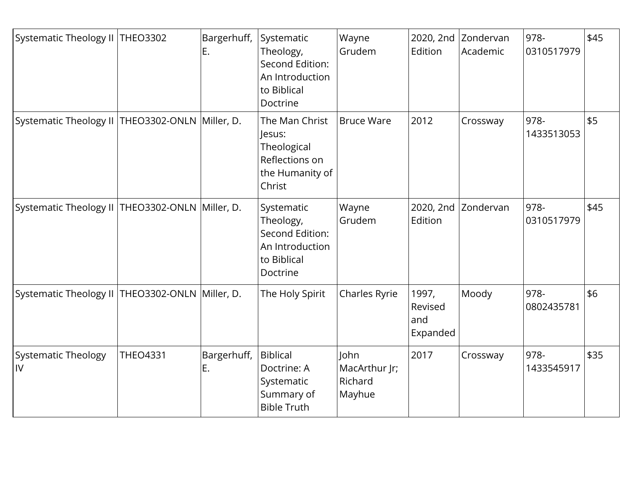| Systematic Theology II   THEO3302                   |                 | Bargerhuff,<br>E. | Systematic<br>Theology,<br><b>Second Edition:</b><br>An Introduction<br>to Biblical<br>Doctrine | Wayne<br>Grudem                            | 2020, 2nd<br>Edition                | Zondervan<br>Academic | 978-<br>0310517979 | \$45 |
|-----------------------------------------------------|-----------------|-------------------|-------------------------------------------------------------------------------------------------|--------------------------------------------|-------------------------------------|-----------------------|--------------------|------|
| Systematic Theology II   THEO3302-ONLN   Miller, D. |                 |                   | The Man Christ<br>Jesus:<br>Theological<br>Reflections on<br>the Humanity of<br>Christ          | <b>Bruce Ware</b>                          | 2012                                | Crossway              | 978-<br>1433513053 | \$5  |
| Systematic Theology II   THEO3302-ONLN   Miller, D. |                 |                   | Systematic<br>Theology,<br>Second Edition:<br>An Introduction<br>to Biblical<br>Doctrine        | Wayne<br>Grudem                            | 2020, 2nd<br>Edition                | Zondervan             | 978-<br>0310517979 | \$45 |
| Systematic Theology II   THEO3302-ONLN   Miller, D. |                 |                   | The Holy Spirit                                                                                 | Charles Ryrie                              | 1997,<br>Revised<br>and<br>Expanded | Moody                 | 978-<br>0802435781 | \$6  |
| Systematic Theology<br>IV                           | <b>THEO4331</b> | Bargerhuff,<br>E. | <b>Biblical</b><br>Doctrine: A<br>Systematic<br>Summary of<br><b>Bible Truth</b>                | John<br>MacArthur Jr;<br>Richard<br>Mayhue | 2017                                | Crossway              | 978-<br>1433545917 | \$35 |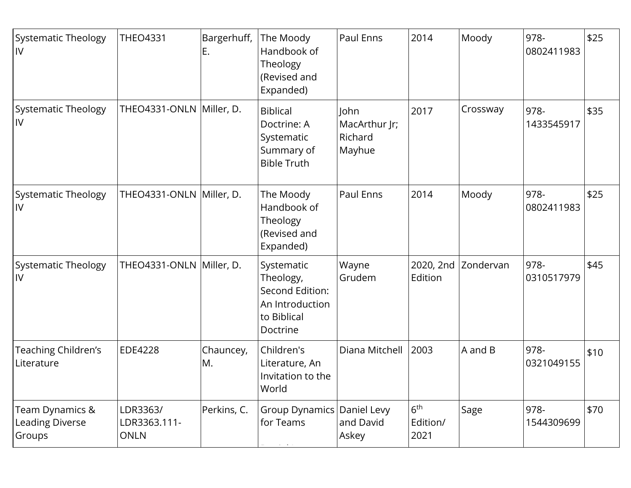| <b>Systematic Theology</b><br>IV             | <b>THEO4331</b>                         | Bargerhuff,<br>Ε. | The Moody<br>Handbook of<br>Theology<br>(Revised and<br>Expanded)                        | Paul Enns                                  | 2014                                | Moody               | 978-<br>0802411983 | \$25 |
|----------------------------------------------|-----------------------------------------|-------------------|------------------------------------------------------------------------------------------|--------------------------------------------|-------------------------------------|---------------------|--------------------|------|
| <b>Systematic Theology</b><br>IV             | THEO4331-ONLN Miller, D.                |                   | <b>Biblical</b><br>Doctrine: A<br>Systematic<br>Summary of<br><b>Bible Truth</b>         | John<br>MacArthur Jr;<br>Richard<br>Mayhue | 2017                                | Crossway            | 978-<br>1433545917 | \$35 |
| <b>Systematic Theology</b><br>IV             | THEO4331-ONLN Miller, D.                |                   | The Moody<br>Handbook of<br>Theology<br>(Revised and<br>Expanded)                        | Paul Enns                                  | 2014                                | Moody               | 978-<br>0802411983 | \$25 |
| <b>Systematic Theology</b><br>IV             | THEO4331-ONLN Miller, D.                |                   | Systematic<br>Theology,<br>Second Edition:<br>An Introduction<br>to Biblical<br>Doctrine | Wayne<br>Grudem                            | Edition                             | 2020, 2nd Zondervan | 978-<br>0310517979 | \$45 |
| Teaching Children's<br>Literature            | EDE4228                                 | Chauncey,<br>M.   | Children's<br>Literature, An<br>Invitation to the<br>World                               | Diana Mitchell                             | 2003                                | A and B             | 978-<br>0321049155 | \$10 |
| Team Dynamics &<br>Leading Diverse<br>Groups | LDR3363/<br>LDR3363.111-<br><b>ONLN</b> | Perkins, C.       | Group Dynamics   Daniel Levy<br>for Teams                                                | and David<br>Askey                         | 6 <sup>th</sup><br>Edition/<br>2021 | Sage                | 978-<br>1544309699 | \$70 |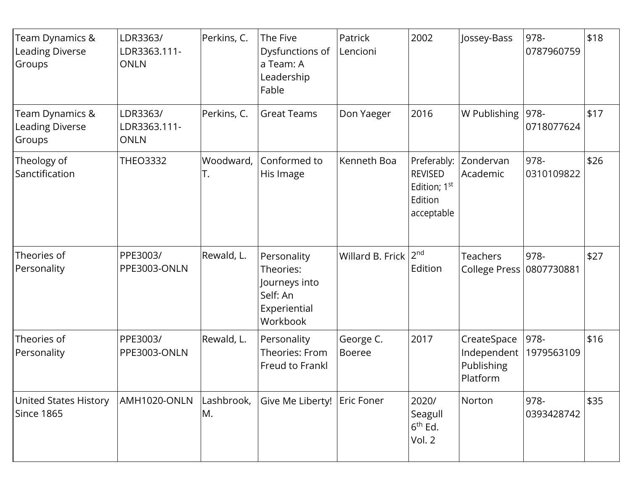| Team Dynamics &<br><b>Leading Diverse</b><br>Groups | LDR3363/<br>LDR3363.111-<br><b>ONLN</b> | Perkins, C.      | The Five<br>Dysfunctions of<br>a Team: A<br>Leadership<br>Fable                   | Patrick<br>Lencioni        | 2002                                                                               | Jossey-Bass                                          | 978-<br>0787960759 | \$18 |
|-----------------------------------------------------|-----------------------------------------|------------------|-----------------------------------------------------------------------------------|----------------------------|------------------------------------------------------------------------------------|------------------------------------------------------|--------------------|------|
| Team Dynamics &<br><b>Leading Diverse</b><br>Groups | LDR3363/<br>LDR3363.111-<br><b>ONLN</b> | Perkins, C.      | <b>Great Teams</b>                                                                | Don Yaeger                 | 2016                                                                               | W Publishing                                         | 978-<br>0718077624 | \$17 |
| Theology of<br>Sanctification                       | <b>THEO3332</b>                         | Woodward,<br>Τ.  | Conformed to<br>His Image                                                         | Kenneth Boa                | Preferably:<br><b>REVISED</b><br>Edition; 1 <sup>st</sup><br>Edition<br>acceptable | Zondervan<br>Academic                                | 978-<br>0310109822 | \$26 |
| Theories of<br>Personality                          | PPE3003/<br>PPE3003-ONLN                | Rewald, L.       | Personality<br>Theories:<br>Journeys into<br>Self: An<br>Experiential<br>Workbook | Willard B. Frick           | 2 <sub>nd</sub><br>Edition                                                         | <b>Teachers</b><br><b>College Press</b>              | 978-<br>0807730881 | \$27 |
| Theories of<br>Personality                          | PPE3003/<br>PPE3003-ONLN                | Rewald, L.       | Personality<br>Theories: From<br>Freud to Frankl                                  | George C.<br><b>Boeree</b> | 2017                                                                               | CreateSpace<br>Independent<br>Publishing<br>Platform | 978-<br>1979563109 | \$16 |
| <b>United States History</b><br>Since 1865          | AMH1020-ONLN                            | Lashbrook,<br>M. | Give Me Liberty!   Eric Foner                                                     |                            | 2020/<br>Seagull<br>$6th$ Ed.<br>Vol. 2                                            | Norton                                               | 978-<br>0393428742 | \$35 |